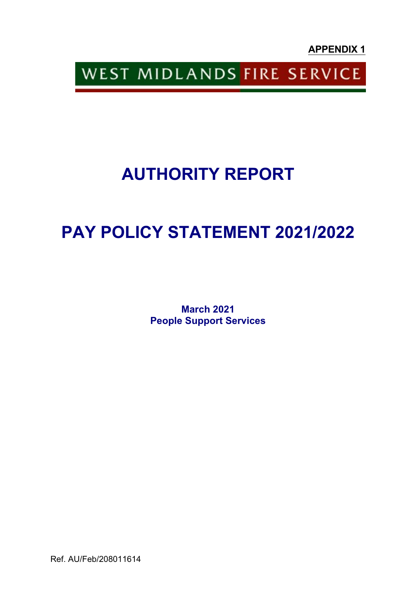**APPENDIX 1**

WEST MIDLANDS FIRE SERVICE

# **AUTHORITY REPORT**

# **PAY POLICY STATEMENT 2021/2022**

**March 2021 People Support Services**

Ref. AU/Feb/208011614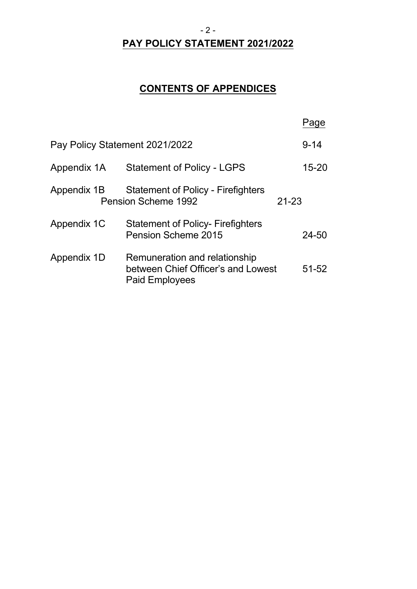#### $-2-$

#### **PAY POLICY STATEMENT 2021/2022**

## **CONTENTS OF APPENDICES**

|                                |                                                                                              | aqe       |
|--------------------------------|----------------------------------------------------------------------------------------------|-----------|
| Pay Policy Statement 2021/2022 | $9 - 14$                                                                                     |           |
| Appendix 1A                    | <b>Statement of Policy - LGPS</b>                                                            | $15 - 20$ |
| Appendix 1B                    | <b>Statement of Policy - Firefighters</b><br>Pension Scheme 1992                             | $21 - 23$ |
| Appendix 1C                    | <b>Statement of Policy- Firefighters</b><br>Pension Scheme 2015                              | $24 - 50$ |
| Appendix 1D                    | Remuneration and relationship<br>between Chief Officer's and Lowest<br><b>Paid Employees</b> | $51 - 52$ |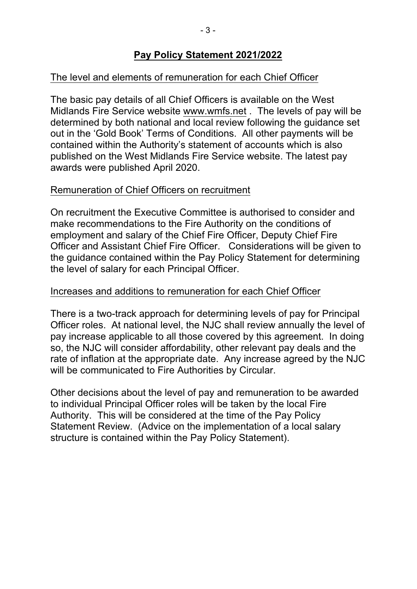#### **Pay Policy Statement 2021/2022**

#### The level and elements of remuneration for each Chief Officer

The basic pay details of all Chief Officers is available on the West Midlands Fire Service website www.wmfs.net . The levels of pay will be determined by both national and local review following the guidance set out in the 'Gold Book' Terms of Conditions. All other payments will be contained within the Authority's statement of accounts which is also published on the West Midlands Fire Service website. The latest pay awards were published April 2020.

#### Remuneration of Chief Officers on recruitment

On recruitment the Executive Committee is authorised to consider and make recommendations to the Fire Authority on the conditions of employment and salary of the Chief Fire Officer, Deputy Chief Fire Officer and Assistant Chief Fire Officer. Considerations will be given to the guidance contained within the Pay Policy Statement for determining the level of salary for each Principal Officer.

#### Increases and additions to remuneration for each Chief Officer

There is a two-track approach for determining levels of pay for Principal Officer roles. At national level, the NJC shall review annually the level of pay increase applicable to all those covered by this agreement. In doing so, the NJC will consider affordability, other relevant pay deals and the rate of inflation at the appropriate date. Any increase agreed by the NJC will be communicated to Fire Authorities by Circular.

Other decisions about the level of pay and remuneration to be awarded to individual Principal Officer roles will be taken by the local Fire Authority. This will be considered at the time of the Pay Policy Statement Review. (Advice on the implementation of a local salary structure is contained within the Pay Policy Statement).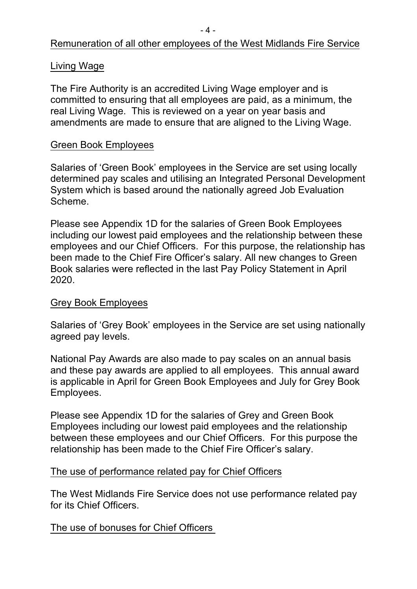## Remuneration of all other employees of the West Midlands Fire Service

#### Living Wage

The Fire Authority is an accredited Living Wage employer and is committed to ensuring that all employees are paid, as a minimum, the real Living Wage. This is reviewed on a year on year basis and amendments are made to ensure that are aligned to the Living Wage.

#### Green Book Employees

Salaries of 'Green Book' employees in the Service are set using locally determined pay scales and utilising an Integrated Personal Development System which is based around the nationally agreed Job Evaluation Scheme.

Please see Appendix 1D for the salaries of Green Book Employees including our lowest paid employees and the relationship between these employees and our Chief Officers. For this purpose, the relationship has been made to the Chief Fire Officer's salary. All new changes to Green Book salaries were reflected in the last Pay Policy Statement in April 2020.

#### Grey Book Employees

Salaries of 'Grey Book' employees in the Service are set using nationally agreed pay levels.

National Pay Awards are also made to pay scales on an annual basis and these pay awards are applied to all employees. This annual award is applicable in April for Green Book Employees and July for Grey Book Employees.

Please see Appendix 1D for the salaries of Grey and Green Book Employees including our lowest paid employees and the relationship between these employees and our Chief Officers. For this purpose the relationship has been made to the Chief Fire Officer's salary.

#### The use of performance related pay for Chief Officers

The West Midlands Fire Service does not use performance related pay for its Chief Officers.

The use of bonuses for Chief Officers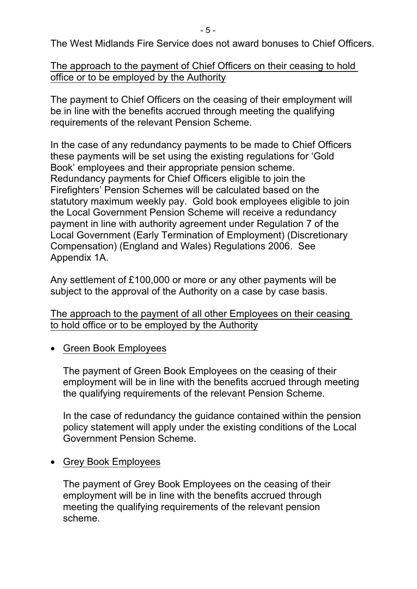The West Midlands Fire Service does not award bonuses to Chief Officers.

## The approach to the payment of Chief Officers on their ceasing to hold office or to be employed by the Authority

The payment to Chief Officers on the ceasing of their employment will be in line with the benefits accrued through meeting the qualifying requirements of the relevant Pension Scheme.

In the case of any redundancy payments to be made to Chief Officers these payments will be set using the existing regulations for 'Gold Book' employees and their appropriate pension scheme. Redundancy payments for Chief Officers eligible to join the Firefighters' Pension Schemes will be calculated based on the statutory maximum weekly pay. Gold book employees eligible to join the Local Government Pension Scheme will receive a redundancy payment in line with authority agreement under Regulation 7 of the Local Government (Early Termination of Employment) (Discretionary Compensation) (England and Wales) Regulations 2006. See Appendix 1A.

Any settlement of £100,000 or more or any other payments will be subject to the approval of the Authority on a case by case basis.

The approach to the payment of all other Employees on their ceasing to hold office or to be employed by the Authority

Green Book Employees

The payment of Green Book Employees on the ceasing of their employment will be in line with the benefits accrued through meeting the qualifying requirements of the relevant Pension Scheme.

In the case of redundancy the guidance contained within the pension policy statement will apply under the existing conditions of the Local Government Pension Scheme.

• Grey Book Employees

The payment of Grey Book Employees on the ceasing of their employment will be in line with the benefits accrued through meeting the qualifying requirements of the relevant pension scheme.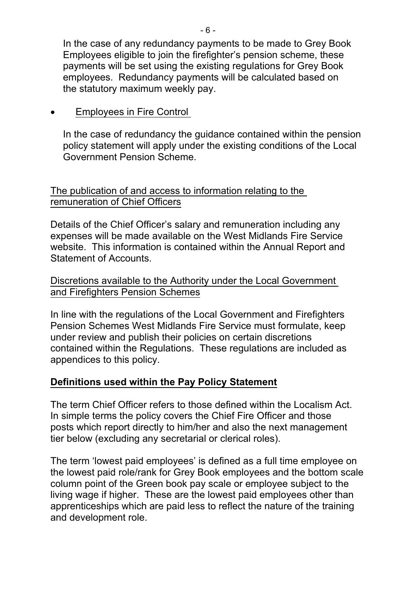In the case of any redundancy payments to be made to Grey Book Employees eligible to join the firefighter's pension scheme, these payments will be set using the existing regulations for Grey Book employees. Redundancy payments will be calculated based on the statutory maximum weekly pay.

Employees in Fire Control

In the case of redundancy the guidance contained within the pension policy statement will apply under the existing conditions of the Local Government Pension Scheme.

#### The publication of and access to information relating to the remuneration of Chief Officers

Details of the Chief Officer's salary and remuneration including any expenses will be made available on the West Midlands Fire Service website. This information is contained within the Annual Report and Statement of Accounts.

#### Discretions available to the Authority under the Local Government and Firefighters Pension Schemes

In line with the regulations of the Local Government and Firefighters Pension Schemes West Midlands Fire Service must formulate, keep under review and publish their policies on certain discretions contained within the Regulations. These regulations are included as appendices to this policy.

## **Definitions used within the Pay Policy Statement**

The term Chief Officer refers to those defined within the Localism Act. In simple terms the policy covers the Chief Fire Officer and those posts which report directly to him/her and also the next management tier below (excluding any secretarial or clerical roles).

The term 'lowest paid employees' is defined as a full time employee on the lowest paid role/rank for Grey Book employees and the bottom scale column point of the Green book pay scale or employee subject to the living wage if higher. These are the lowest paid employees other than apprenticeships which are paid less to reflect the nature of the training and development role.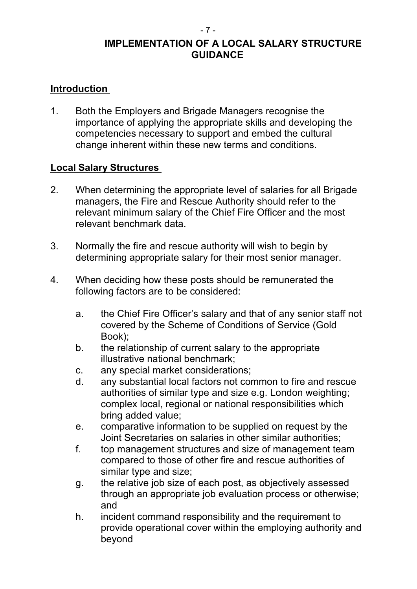## **IMPLEMENTATION OF A LOCAL SALARY STRUCTURE GUIDANCE**

## **Introduction**

1. Both the Employers and Brigade Managers recognise the importance of applying the appropriate skills and developing the competencies necessary to support and embed the cultural change inherent within these new terms and conditions.

## **Local Salary Structures**

- 2. When determining the appropriate level of salaries for all Brigade managers, the Fire and Rescue Authority should refer to the relevant minimum salary of the Chief Fire Officer and the most relevant benchmark data.
- 3. Normally the fire and rescue authority will wish to begin by determining appropriate salary for their most senior manager.
- 4. When deciding how these posts should be remunerated the following factors are to be considered:
	- a. the Chief Fire Officer's salary and that of any senior staff not covered by the Scheme of Conditions of Service (Gold Book);
	- b. the relationship of current salary to the appropriate illustrative national benchmark;
	- c. any special market considerations;
	- d. any substantial local factors not common to fire and rescue authorities of similar type and size e.g. London weighting; complex local, regional or national responsibilities which bring added value;
	- e. comparative information to be supplied on request by the Joint Secretaries on salaries in other similar authorities;
	- f. top management structures and size of management team compared to those of other fire and rescue authorities of similar type and size;
	- g. the relative job size of each post, as objectively assessed through an appropriate job evaluation process or otherwise; and
	- h. incident command responsibility and the requirement to provide operational cover within the employing authority and beyond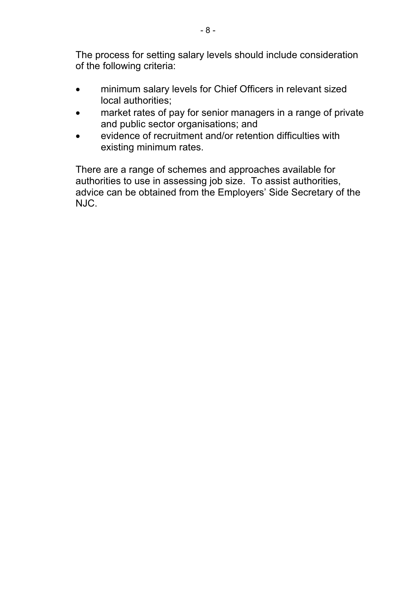The process for setting salary levels should include consideration of the following criteria:

- minimum salary levels for Chief Officers in relevant sized local authorities;
- market rates of pay for senior managers in a range of private and public sector organisations; and
- evidence of recruitment and/or retention difficulties with existing minimum rates.

There are a range of schemes and approaches available for authorities to use in assessing job size. To assist authorities, advice can be obtained from the Employers' Side Secretary of the NJC.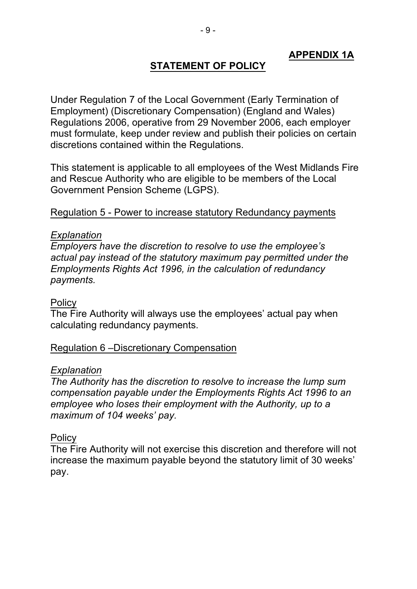## **APPENDIX 1A**

#### **STATEMENT OF POLICY**

Under Regulation 7 of the Local Government (Early Termination of Employment) (Discretionary Compensation) (England and Wales) Regulations 2006, operative from 29 November 2006, each employer must formulate, keep under review and publish their policies on certain discretions contained within the Regulations.

This statement is applicable to all employees of the West Midlands Fire and Rescue Authority who are eligible to be members of the Local Government Pension Scheme (LGPS).

#### Regulation 5 Power to increase statutory Redundancy payments

#### *Explanation*

*Employers have the discretion to resolve to use the employee's actual pay instead of the statutory maximum pay permitted under the Employments Rights Act 1996, in the calculation of redundancy payments.*

#### **Policy**

The Fire Authority will always use the employees' actual pay when calculating redundancy payments.

#### Regulation 6 –Discretionary Compensation

#### *Explanation*

*The Authority has the discretion to resolve to increase the lump sum compensation payable under the Employments Rights Act 1996 to an employee who loses their employment with the Authority, up to a maximum of 104 weeks' pay.*

#### **Policy**

The Fire Authority will not exercise this discretion and therefore will not increase the maximum payable beyond the statutory limit of 30 weeks' pay.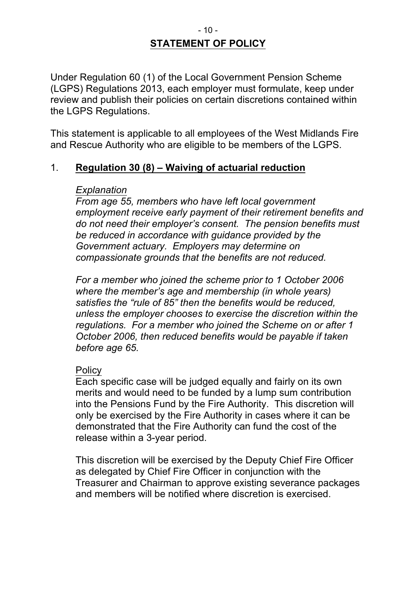#### $-10-$ **STATEMENT OF POLICY**

Under Regulation 60 (1) of the Local Government Pension Scheme (LGPS) Regulations 2013, each employer must formulate, keep under review and publish their policies on certain discretions contained within the LGPS Regulations.

This statement is applicable to all employees of the West Midlands Fire and Rescue Authority who are eligible to be members of the LGPS.

#### 1. **Regulation 30 (8) – Waiving of actuarial reduction**

#### *Explanation*

*From age 55, members who have left local government employment receive early payment of their retirement benefits and do not need their employer's consent. The pension benefits must be reduced in accordance with guidance provided by the Government actuary. Employers may determine on compassionate grounds that the benefits are not reduced.*

*For a member who joined the scheme prior to 1 October 2006 where the member's age and membership (in whole years) satisfies the "rule of 85" then the benefits would be reduced, unless the employer chooses to exercise the discretion within the regulations. For a member who joined the Scheme on or after 1 October 2006, then reduced benefits would be payable if taken before age 65.*

#### **Policy**

Each specific case will be judged equally and fairly on its own merits and would need to be funded by a lump sum contribution into the Pensions Fund by the Fire Authority. This discretion will only be exercised by the Fire Authority in cases where it can be demonstrated that the Fire Authority can fund the cost of the release within a 3-year period.

This discretion will be exercised by the Deputy Chief Fire Officer as delegated by Chief Fire Officer in conjunction with the Treasurer and Chairman to approve existing severance packages and members will be notified where discretion is exercised.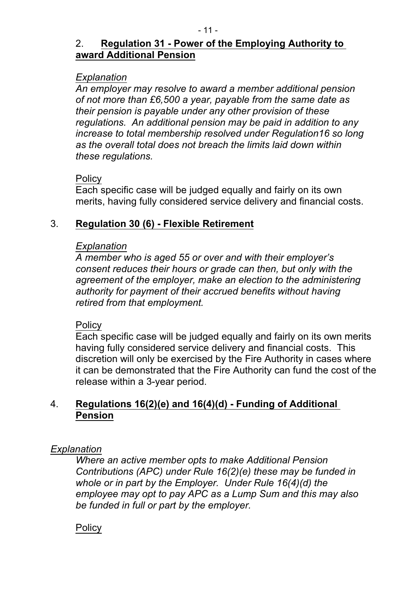## 2. **Regulation 31 Power of the Employing Authority to award Additional Pension**

#### *Explanation*

*An employer may resolve to award a member additional pension of not more than £6,500 a year, payable from the same date as their pension is payable under any other provision of these regulations. An additional pension may be paid in addition to any increase to total membership resolved under Regulation16 so long as the overall total does not breach the limits laid down within these regulations.*

#### **Policy**

Each specific case will be judged equally and fairly on its own merits, having fully considered service delivery and financial costs.

## 3. **Regulation 30 (6) Flexible Retirement**

#### *Explanation*

*A member who is aged 55 or over and with their employer's consent reduces their hours or grade can then, but only with the agreement of the employer, make an election to the administering authority for payment of their accrued benefits without having retired from that employment.*

#### **Policy**

Each specific case will be judged equally and fairly on its own merits having fully considered service delivery and financial costs. This discretion will only be exercised by the Fire Authority in cases where it can be demonstrated that the Fire Authority can fund the cost of the release within a 3-year period.

## 4. **Regulations 16(2)(e) and 16(4)(d) Funding of Additional Pension**

#### *Explanation*

*Where an active member opts to make Additional Pension Contributions (APC) under Rule 16(2)(e) these may be funded in whole or in part by the Employer. Under Rule 16(4)(d) the employee may opt to pay APC as a Lump Sum and this may also be funded in full or part by the employer.*

#### **Policy**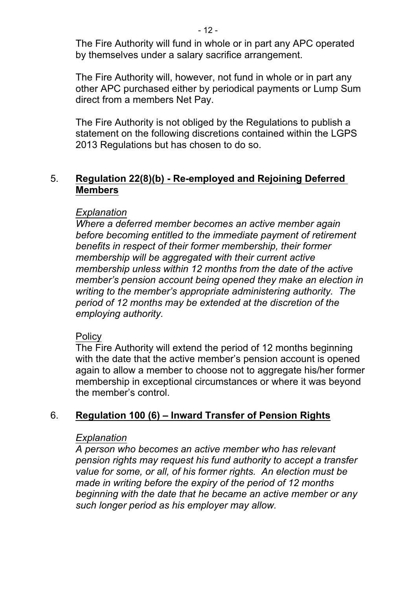The Fire Authority will fund in whole or in part any APC operated by themselves under a salary sacrifice arrangement.

The Fire Authority will, however, not fund in whole or in part any other APC purchased either by periodical payments or Lump Sum direct from a members Net Pay.

The Fire Authority is not obliged by the Regulations to publish a statement on the following discretions contained within the LGPS 2013 Regulations but has chosen to do so.

## 5. **Regulation 22(8)(b) Reemployed and Rejoining Deferred Members**

#### *Explanation*

*Where a deferred member becomes an active member again before becoming entitled to the immediate payment of retirement benefits in respect of their former membership, their former membership will be aggregated with their current active membership unless within 12 months from the date of the active member's pension account being opened they make an election in writing to the member's appropriate administering authority. The period of 12 months may be extended at the discretion of the employing authority.*

#### **Policy**

The Fire Authority will extend the period of 12 months beginning with the date that the active member's pension account is opened again to allow a member to choose not to aggregate his/her former membership in exceptional circumstances or where it was beyond the member's control.

## 6. **Regulation 100 (6) – Inward Transfer of Pension Rights**

#### *Explanation*

*A person who becomes an active member who has relevant pension rights may request his fund authority to accept a transfer value for some, or all, of his former rights. An election must be made in writing before the expiry of the period of 12 months beginning with the date that he became an active member or any such longer period as his employer may allow.*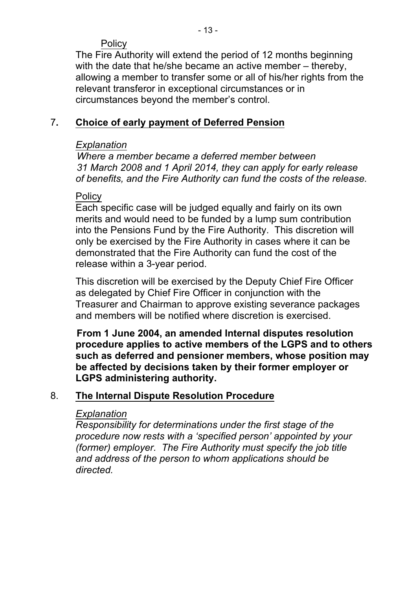## **Policy**

The Fire Authority will extend the period of 12 months beginning with the date that he/she became an active member – thereby, allowing a member to transfer some or all of his/her rights from the relevant transferor in exceptional circumstances or in circumstances beyond the member's control.

## 7**. Choice of early payment of Deferred Pension**

## *Explanation*

*Where a member became a deferred member between 31 March 2008 and 1 April 2014, they can apply for early release of benefits, and the Fire Authority can fund the costs of the release.*

## **Policy**

Each specific case will be judged equally and fairly on its own merits and would need to be funded by a lump sum contribution into the Pensions Fund by the Fire Authority. This discretion will only be exercised by the Fire Authority in cases where it can be demonstrated that the Fire Authority can fund the cost of the release within a 3-year period.

This discretion will be exercised by the Deputy Chief Fire Officer as delegated by Chief Fire Officer in conjunction with the Treasurer and Chairman to approve existing severance packages and members will be notified where discretion is exercised.

**From 1 June 2004, an amended Internal disputes resolution procedure applies to active members of the LGPS and to others such as deferred and pensioner members, whose position may be affected by decisions taken by their former employer or LGPS administering authority.**

## 8. **The Internal Dispute Resolution Procedure**

#### *Explanation*

*Responsibility for determinations under the first stage of the procedure now rests with a 'specified person' appointed by your (former) employer. The Fire Authority must specify the job title and address of the person to whom applications should be directed.*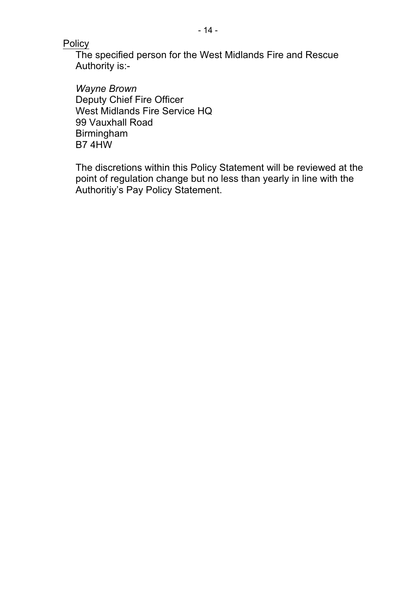**Policy** 

The specified person for the West Midlands Fire and Rescue Authority is:

*Wayne Brown* Deputy Chief Fire Officer West Midlands Fire Service HQ 99 Vauxhall Road Birmingham B7 4HW

The discretions within this Policy Statement will be reviewed at the point of regulation change but no less than yearly in line with the Authoritiy's Pay Policy Statement.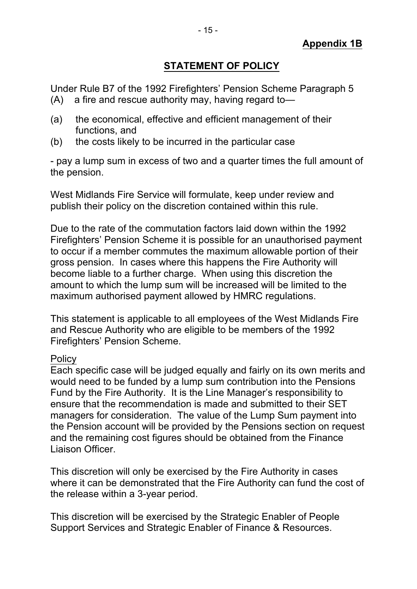## **STATEMENT OF POLICY**

Under Rule B7 of the 1992 Firefighters' Pension Scheme Paragraph 5 (A) a fire and rescue authority may, having regard to—

- (a) the economical, effective and efficient management of their functions, and
- (b) the costs likely to be incurred in the particular case

 pay a lump sum in excess of two and a quarter times the full amount of the pension.

West Midlands Fire Service will formulate, keep under review and publish their policy on the discretion contained within this rule.

Due to the rate of the commutation factors laid down within the 1992 Firefighters' Pension Scheme it is possible for an unauthorised payment to occur if a member commutes the maximum allowable portion of their gross pension. In cases where this happens the Fire Authority will become liable to a further charge. When using this discretion the amount to which the lump sum will be increased will be limited to the maximum authorised payment allowed by HMRC regulations.

This statement is applicable to all employees of the West Midlands Fire and Rescue Authority who are eligible to be members of the 1992 Firefighters' Pension Scheme.

#### **Policy**

Each specific case will be judged equally and fairly on its own merits and would need to be funded by a lump sum contribution into the Pensions Fund by the Fire Authority. It is the Line Manager's responsibility to ensure that the recommendation is made and submitted to their SET managers for consideration. The value of the Lump Sum payment into the Pension account will be provided by the Pensions section on request and the remaining cost figures should be obtained from the Finance Liaison Officer.

This discretion will only be exercised by the Fire Authority in cases where it can be demonstrated that the Fire Authority can fund the cost of the release within a 3-year period.

This discretion will be exercised by the Strategic Enabler of People Support Services and Strategic Enabler of Finance & Resources.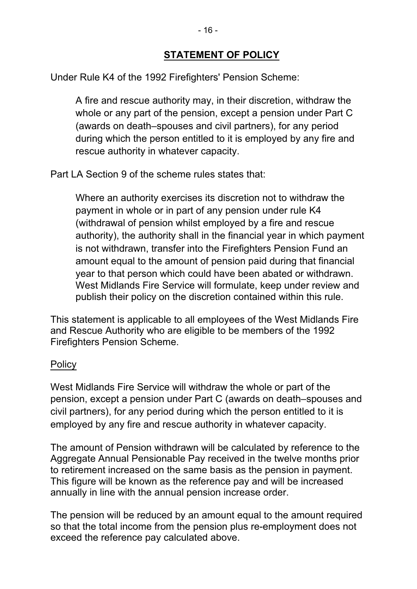Under Rule K4 of the 1992 Firefighters' Pension Scheme:

A fire and rescue authority may, in their discretion, withdraw the whole or any part of the pension, except a pension under Part C (awards on death–spouses and civil partners), for any period during which the person entitled to it is employed by any fire and rescue authority in whatever capacity.

Part LA Section 9 of the scheme rules states that:

Where an authority exercises its discretion not to withdraw the payment in whole or in part of any pension under rule K4 (withdrawal of pension whilst employed by a fire and rescue authority), the authority shall in the financial year in which payment is not withdrawn, transfer into the Firefighters Pension Fund an amount equal to the amount of pension paid during that financial year to that person which could have been abated or withdrawn. West Midlands Fire Service will formulate, keep under review and publish their policy on the discretion contained within this rule.

This statement is applicable to all employees of the West Midlands Fire and Rescue Authority who are eligible to be members of the 1992 Firefighters Pension Scheme.

# **Policy**

West Midlands Fire Service will withdraw the whole or part of the pension, except a pension under Part C (awards on death–spouses and civil partners), for any period during which the person entitled to it is employed by any fire and rescue authority in whatever capacity.

The amount of Pension withdrawn will be calculated by reference to the Aggregate Annual Pensionable Pay received in the twelve months prior to retirement increased on the same basis as the pension in payment. This figure will be known as the reference pay and will be increased annually in line with the annual pension increase order.

The pension will be reduced by an amount equal to the amount required so that the total income from the pension plus re-employment does not exceed the reference pay calculated above.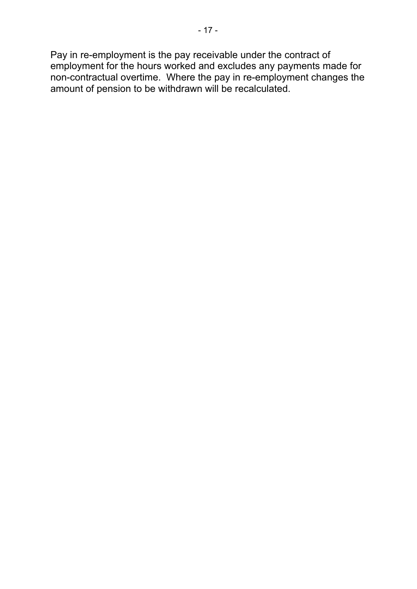Pay in re-employment is the pay receivable under the contract of employment for the hours worked and excludes any payments made for non-contractual overtime. Where the pay in re-employment changes the amount of pension to be withdrawn will be recalculated.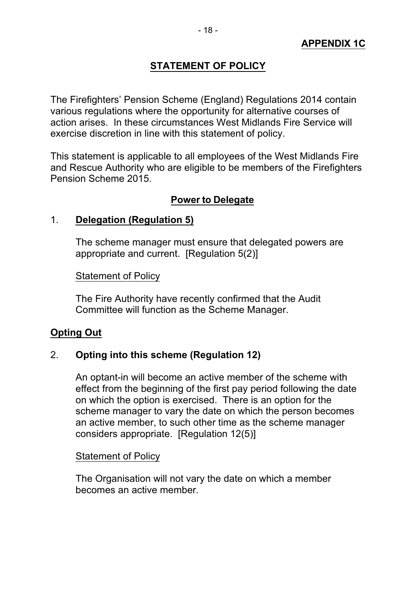## **STATEMENT OF POLICY**

The Firefighters' Pension Scheme (England) Regulations 2014 contain various regulations where the opportunity for alternative courses of action arises. In these circumstances West Midlands Fire Service will exercise discretion in line with this statement of policy.

This statement is applicable to all employees of the West Midlands Fire and Rescue Authority who are eligible to be members of the Firefighters Pension Scheme 2015.

## **Power to Delegate**

#### 1. **Delegation (Regulation 5)**

The scheme manager must ensure that delegated powers are appropriate and current. [Regulation 5(2)]

Statement of Policy

The Fire Authority have recently confirmed that the Audit Committee will function as the Scheme Manager.

#### **Opting Out**

#### 2. **Opting into this scheme (Regulation 12)**

An optant-in will become an active member of the scheme with effect from the beginning of the first pay period following the date on which the option is exercised. There is an option for the scheme manager to vary the date on which the person becomes an active member, to such other time as the scheme manager considers appropriate. [Regulation 12(5)]

#### Statement of Policy

The Organisation will not vary the date on which a member becomes an active member.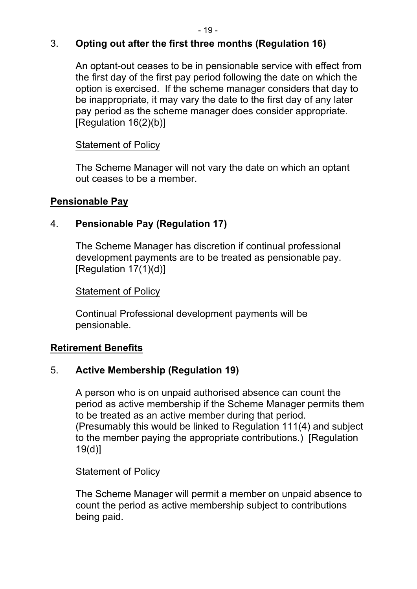## 3. **Opting out after the first three months (Regulation 16)**

An optant-out ceases to be in pensionable service with effect from the first day of the first pay period following the date on which the option is exercised. If the scheme manager considers that day to be inappropriate, it may vary the date to the first day of any later pay period as the scheme manager does consider appropriate. [Regulation 16(2)(b)]

#### Statement of Policy

The Scheme Manager will not vary the date on which an optant out ceases to be a member.

#### **Pensionable Pay**

## 4. **Pensionable Pay (Regulation 17)**

The Scheme Manager has discretion if continual professional development payments are to be treated as pensionable pay. [Regulation 17(1)(d)]

#### Statement of Policy

Continual Professional development payments will be pensionable.

#### **Retirement Benefits**

#### 5. **Active Membership (Regulation 19)**

A person who is on unpaid authorised absence can count the period as active membership if the Scheme Manager permits them to be treated as an active member during that period. (Presumably this would be linked to Regulation 111(4) and subject to the member paying the appropriate contributions.) [Regulation 19(d)]

#### Statement of Policy

The Scheme Manager will permit a member on unpaid absence to count the period as active membership subject to contributions being paid.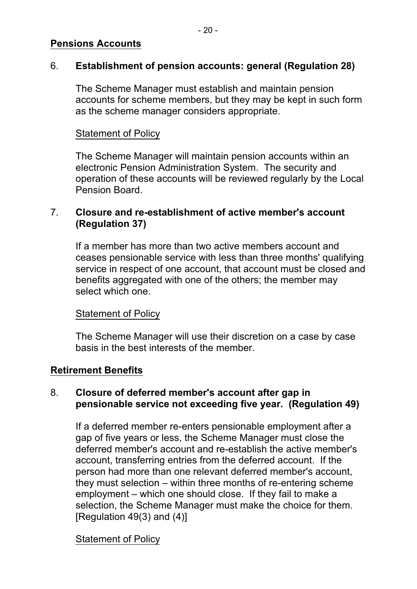#### **Pensions Accounts**

#### 6. **Establishment of pension accounts: general (Regulation 28)**

The Scheme Manager must establish and maintain pension accounts for scheme members, but they may be kept in such form as the scheme manager considers appropriate.

#### Statement of Policy

The Scheme Manager will maintain pension accounts within an electronic Pension Administration System. The security and operation of these accounts will be reviewed regularly by the Local Pension Board.

#### 7. **Closure and reestablishment of active member's account (Regulation 37)**

If a member has more than two active members account and ceases pensionable service with less than three months' qualifying service in respect of one account, that account must be closed and benefits aggregated with one of the others; the member may select which one.

#### Statement of Policy

The Scheme Manager will use their discretion on a case by case basis in the best interests of the member.

#### **Retirement Benefits**

#### 8. **Closure of deferred member's account after gap in pensionable service not exceeding five year. (Regulation 49)**

If a deferred member re-enters pensionable employment after a gap of five years or less, the Scheme Manager must close the deferred member's account and re-establish the active member's account, transferring entries from the deferred account. If the person had more than one relevant deferred member's account, they must selection  $-$  within three months of re-entering scheme employment – which one should close. If they fail to make a selection, the Scheme Manager must make the choice for them.  $[Requlation 49(3)$  and  $(4)]$ 

#### Statement of Policy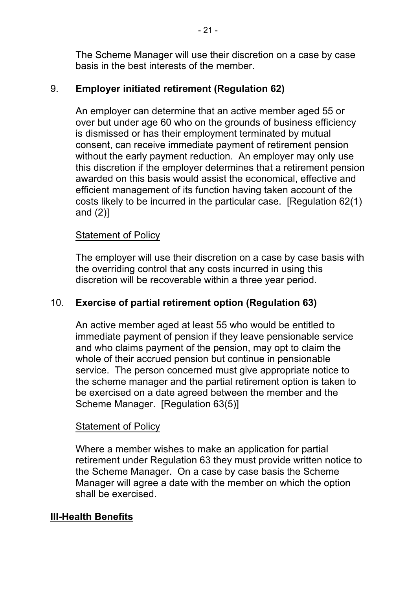The Scheme Manager will use their discretion on a case by case basis in the best interests of the member.

## 9. **Employer initiated retirement (Regulation 62)**

An employer can determine that an active member aged 55 or over but under age 60 who on the grounds of business efficiency is dismissed or has their employment terminated by mutual consent, can receive immediate payment of retirement pension without the early payment reduction. An employer may only use this discretion if the employer determines that a retirement pension awarded on this basis would assist the economical, effective and efficient management of its function having taken account of the costs likely to be incurred in the particular case. [Regulation 62(1) and (2)]

#### Statement of Policy

The employer will use their discretion on a case by case basis with the overriding control that any costs incurred in using this discretion will be recoverable within a three year period.

## 10. **Exercise of partial retirement option (Regulation 63)**

An active member aged at least 55 who would be entitled to immediate payment of pension if they leave pensionable service and who claims payment of the pension, may opt to claim the whole of their accrued pension but continue in pensionable service. The person concerned must give appropriate notice to the scheme manager and the partial retirement option is taken to be exercised on a date agreed between the member and the Scheme Manager. [Regulation 63(5)]

#### Statement of Policy

Where a member wishes to make an application for partial retirement under Regulation 63 they must provide written notice to the Scheme Manager. On a case by case basis the Scheme Manager will agree a date with the member on which the option shall be exercised.

#### **III-Health Benefits**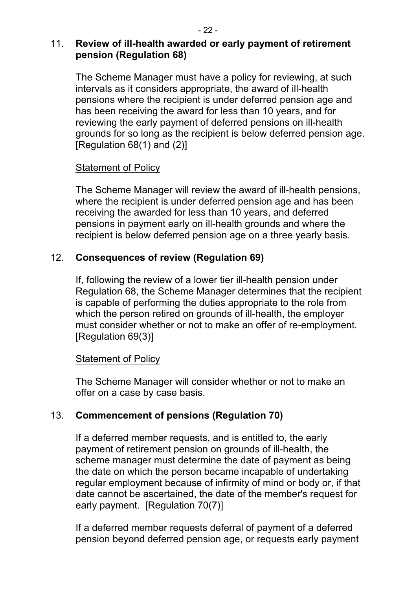## 11. **Review of illhealth awarded or early payment of retirement pension (Regulation 68)**

The Scheme Manager must have a policy for reviewing, at such intervals as it considers appropriate, the award of ill-health pensions where the recipient is under deferred pension age and has been receiving the award for less than 10 years, and for reviewing the early payment of deferred pensions on ill-health grounds for so long as the recipient is below deferred pension age. [Regulation 68(1) and (2)]

## Statement of Policy

The Scheme Manager will review the award of ill-health pensions, where the recipient is under deferred pension age and has been receiving the awarded for less than 10 years, and deferred pensions in payment early on ill-health grounds and where the recipient is below deferred pension age on a three yearly basis.

## 12. **Consequences of review (Regulation 69)**

If, following the review of a lower tier ill-health pension under Regulation 68, the Scheme Manager determines that the recipient is capable of performing the duties appropriate to the role from which the person retired on grounds of ill-health, the employer must consider whether or not to make an offer of re-employment. [Regulation 69(3)]

#### Statement of Policy

The Scheme Manager will consider whether or not to make an offer on a case by case basis.

#### 13. **Commencement of pensions (Regulation 70)**

If a deferred member requests, and is entitled to, the early payment of retirement pension on grounds of ill-health, the scheme manager must determine the date of payment as being the date on which the person became incapable of undertaking regular employment because of infirmity of mind or body or, if that date cannot be ascertained, the date of the member's request for early payment. [Regulation 70(7)]

If a deferred member requests deferral of payment of a deferred pension beyond deferred pension age, or requests early payment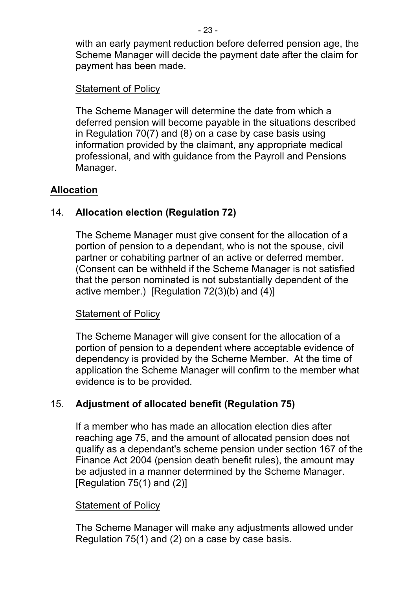with an early payment reduction before deferred pension age, the Scheme Manager will decide the payment date after the claim for payment has been made.

#### Statement of Policy

The Scheme Manager will determine the date from which a deferred pension will become payable in the situations described in Regulation 70(7) and (8) on a case by case basis using information provided by the claimant, any appropriate medical professional, and with guidance from the Payroll and Pensions Manager.

#### **Allocation**

## 14. **Allocation election (Regulation 72)**

The Scheme Manager must give consent for the allocation of a portion of pension to a dependant, who is not the spouse, civil partner or cohabiting partner of an active or deferred member. (Consent can be withheld if the Scheme Manager is not satisfied that the person nominated is not substantially dependent of the active member.) [Regulation  $72(3)(b)$  and  $(4)$ ]

#### Statement of Policy

The Scheme Manager will give consent for the allocation of a portion of pension to a dependent where acceptable evidence of dependency is provided by the Scheme Member. At the time of application the Scheme Manager will confirm to the member what evidence is to be provided.

#### 15. **Adjustment of allocated benefit (Regulation 75)**

If a member who has made an allocation election dies after reaching age 75, and the amount of allocated pension does not qualify as a dependant's scheme pension under section 167 of the Finance Act 2004 (pension death benefit rules), the amount may be adjusted in a manner determined by the Scheme Manager. [Regulation 75(1) and (2)]

#### Statement of Policy

The Scheme Manager will make any adjustments allowed under Regulation 75(1) and (2) on a case by case basis.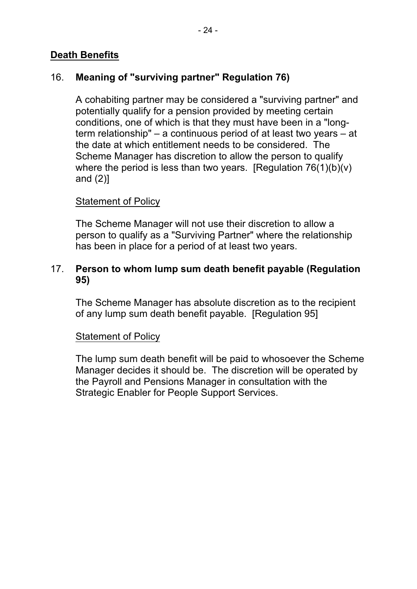## **Death Benefits**

## 16. **Meaning of "surviving partner" Regulation 76)**

A cohabiting partner may be considered a "surviving partner" and potentially qualify for a pension provided by meeting certain conditions, one of which is that they must have been in a "longterm relationship" – a continuous period of at least two years – at the date at which entitlement needs to be considered. The Scheme Manager has discretion to allow the person to qualify where the period is less than two years. [Regulation  $76(1)(b)(v)$ ] and (2)]

#### Statement of Policy

The Scheme Manager will not use their discretion to allow a person to qualify as a "Surviving Partner" where the relationship has been in place for a period of at least two years.

#### 17. **Person to whom lump sum death benefit payable (Regulation 95)**

The Scheme Manager has absolute discretion as to the recipient of any lump sum death benefit payable. [Regulation 95]

#### Statement of Policy

The lump sum death benefit will be paid to whosoever the Scheme Manager decides it should be. The discretion will be operated by the Payroll and Pensions Manager in consultation with the Strategic Enabler for People Support Services.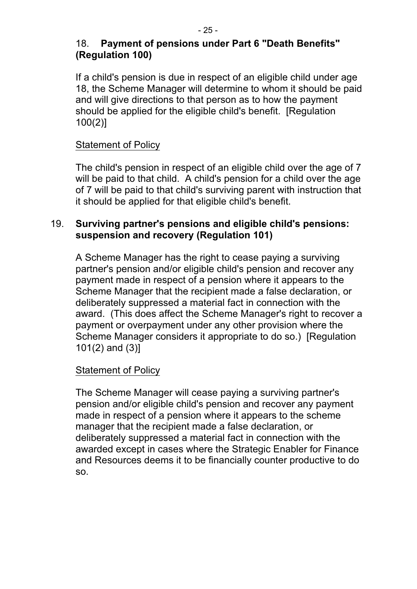## 18. **Payment of pensions under Part 6 "Death Benefits" (Regulation 100)**

If a child's pension is due in respect of an eligible child under age 18, the Scheme Manager will determine to whom it should be paid and will give directions to that person as to how the payment should be applied for the eligible child's benefit. [Regulation 100(2)]

#### Statement of Policy

The child's pension in respect of an eligible child over the age of 7 will be paid to that child. A child's pension for a child over the age of 7 will be paid to that child's surviving parent with instruction that it should be applied for that eligible child's benefit.

#### 19. **Surviving partner's pensions and eligible child's pensions: suspension and recovery (Regulation 101)**

A Scheme Manager has the right to cease paying a surviving partner's pension and/or eligible child's pension and recover any payment made in respect of a pension where it appears to the Scheme Manager that the recipient made a false declaration, or deliberately suppressed a material fact in connection with the award. (This does affect the Scheme Manager's right to recover a payment or overpayment under any other provision where the Scheme Manager considers it appropriate to do so.) [Regulation 101(2) and (3)]

#### Statement of Policy

The Scheme Manager will cease paying a surviving partner's pension and/or eligible child's pension and recover any payment made in respect of a pension where it appears to the scheme manager that the recipient made a false declaration, or deliberately suppressed a material fact in connection with the awarded except in cases where the Strategic Enabler for Finance and Resources deems it to be financially counter productive to do so.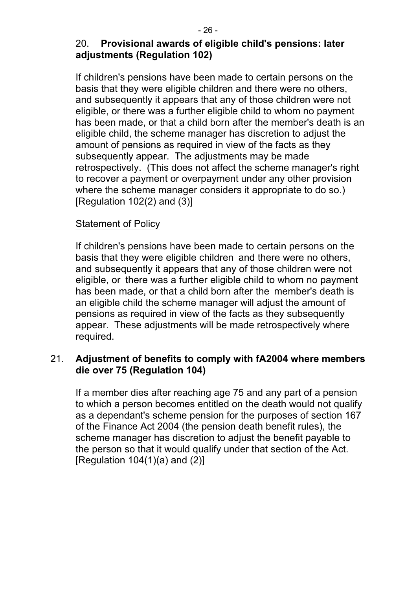## 20. **Provisional awards of eligible child's pensions: later adjustments (Regulation 102)**

If children's pensions have been made to certain persons on the basis that they were eligible children and there were no others, and subsequently it appears that any of those children were not eligible, or there was a further eligible child to whom no payment has been made, or that a child born after the member's death is an eligible child, the scheme manager has discretion to adjust the amount of pensions as required in view of the facts as they subsequently appear. The adjustments may be made retrospectively. (This does not affect the scheme manager's right to recover a payment or overpayment under any other provision where the scheme manager considers it appropriate to do so.) [Regulation  $102(2)$  and  $(3)$ ]

#### Statement of Policy

If children's pensions have been made to certain persons on the basis that they were eligible children and there were no others, and subsequently it appears that any of those children were not eligible, or there was a further eligible child to whom no payment has been made, or that a child born after the member's death is an eligible child the scheme manager will adjust the amount of pensions as required in view of the facts as they subsequently appear. These adjustments will be made retrospectively where required.

#### 21. **Adjustment of benefits to comply with fA2004 where members die over 75 (Regulation 104)**

If a member dies after reaching age 75 and any part of a pension to which a person becomes entitled on the death would not qualify as a dependant's scheme pension for the purposes of section 167 of the Finance Act 2004 (the pension death benefit rules), the scheme manager has discretion to adjust the benefit payable to the person so that it would qualify under that section of the Act. [Regulation  $104(1)(a)$  and  $(2)$ ]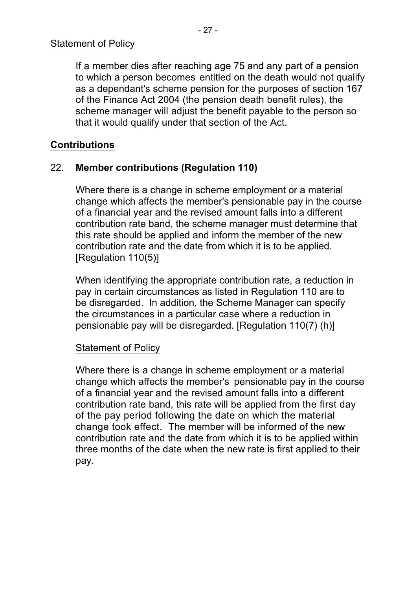If a member dies after reaching age 75 and any part of a pension to which a person becomes entitled on the death would not qualify as a dependant's scheme pension for the purposes of section 167 of the Finance Act 2004 (the pension death benefit rules), the scheme manager will adjust the benefit payable to the person so that it would qualify under that section of the Act.

## **Contributions**

## 22. **Member contributions (Regulation 110)**

Where there is a change in scheme employment or a material change which affects the member's pensionable pay in the course of a financial year and the revised amount falls into a different contribution rate band, the scheme manager must determine that this rate should be applied and inform the member of the new contribution rate and the date from which it is to be applied. [Regulation 110(5)]

When identifying the appropriate contribution rate, a reduction in pay in certain circumstances as listed in Regulation 110 are to be disregarded. In addition, the Scheme Manager can specify the circumstances in a particular case where a reduction in pensionable pay will be disregarded. [Regulation 110(7) (h)]

#### Statement of Policy

Where there is a change in scheme employment or a material change which affects the member's pensionable pay in the course of a financial year and the revised amount falls into a different contribution rate band, this rate will be applied from the first day of the pay period following the date on which the material change took effect. The member will be informed of the new contribution rate and the date from which it is to be applied within three months of the date when the new rate is first applied to their pay.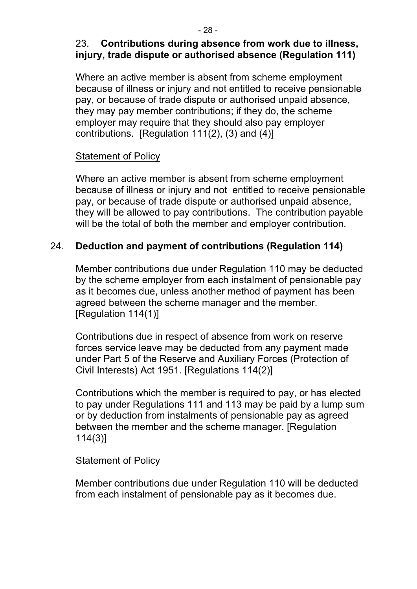## 23. **Contributions during absence from work due to illness, injury, trade dispute or authorised absence (Regulation 111)**

Where an active member is absent from scheme employment because of illness or injury and not entitled to receive pensionable pay, or because of trade dispute or authorised unpaid absence, they may pay member contributions; if they do, the scheme employer may require that they should also pay employer contributions. [Regulation 111(2), (3) and (4)]

# Statement of Policy

Where an active member is absent from scheme employment because of illness or injury and not entitled to receive pensionable pay, or because of trade dispute or authorised unpaid absence, they will be allowed to pay contributions. The contribution payable will be the total of both the member and employer contribution.

# 24. **Deduction and payment of contributions (Regulation 114)**

Member contributions due under Regulation 110 may be deducted by the scheme employer from each instalment of pensionable pay as it becomes due, unless another method of payment has been agreed between the scheme manager and the member. [Regulation 114(1)]

Contributions due in respect of absence from work on reserve forces service leave may be deducted from any payment made under Part 5 of the Reserve and Auxiliary Forces (Protection of Civil Interests) Act 1951. [Regulations 114(2)]

Contributions which the member is required to pay, or has elected to pay under Regulations 111 and 113 may be paid by a lump sum or by deduction from instalments of pensionable pay as agreed between the member and the scheme manager. [Regulation 114(3)]

# Statement of Policy

Member contributions due under Regulation 110 will be deducted from each instalment of pensionable pay as it becomes due.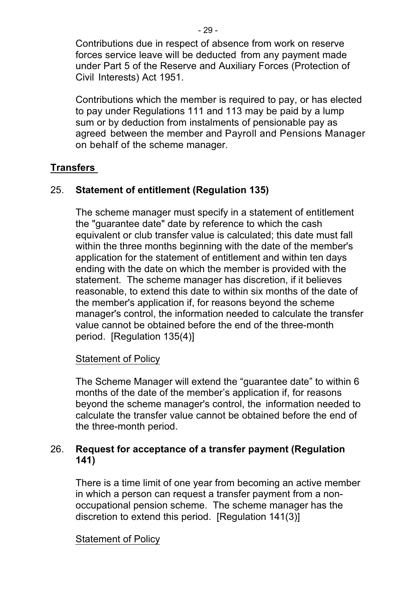Contributions due in respect of absence from work on reserve forces service leave will be deducted from any payment made under Part 5 of the Reserve and Auxiliary Forces (Protection of Civil Interests) Act 1951.

Contributions which the member is required to pay, or has elected to pay under Regulations 111 and 113 may be paid by a lump sum or by deduction from instalments of pensionable pay as agreed between the member and Payroll and Pensions Manager on behalf of the scheme manager.

## **Transfers**

#### 25. **Statement of entitlement (Regulation 135)**

The scheme manager must specify in a statement of entitlement the "guarantee date" date by reference to which the cash equivalent or club transfer value is calculated; this date must fall within the three months beginning with the date of the member's application for the statement of entitlement and within ten days ending with the date on which the member is provided with the statement. The scheme manager has discretion, if it believes reasonable, to extend this date to within six months of the date of the member's application if, for reasons beyond the scheme manager's control, the information needed to calculate the transfer value cannot be obtained before the end of the three-month period. [Regulation 135(4)]

#### Statement of Policy

The Scheme Manager will extend the "guarantee date" to within 6 months of the date of the member's application if, for reasons beyond the scheme manager's control, the information needed to calculate the transfer value cannot be obtained before the end of the three-month period.

#### 26. **Request for acceptance of a transfer payment (Regulation 141)**

There is a time limit of one year from becoming an active member in which a person can request a transfer payment from a nonoccupational pension scheme. The scheme manager has the discretion to extend this period. [Regulation 141(3)]

#### Statement of Policy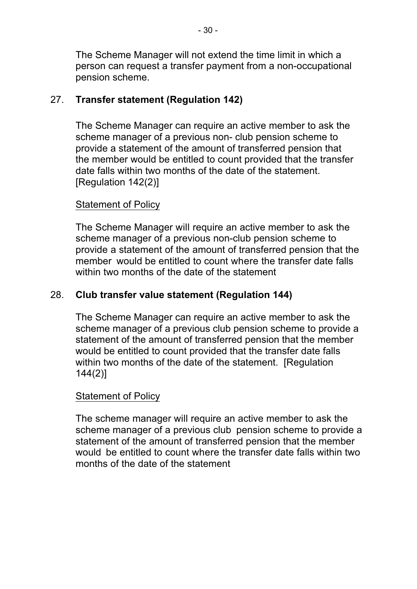The Scheme Manager will not extend the time limit in which a person can request a transfer payment from a non-occupational pension scheme.

## 27. **Transfer statement (Regulation 142)**

The Scheme Manager can require an active member to ask the scheme manager of a previous non- club pension scheme to provide a statement of the amount of transferred pension that the member would be entitled to count provided that the transfer date falls within two months of the date of the statement. [Regulation 142(2)]

#### Statement of Policy

The Scheme Manager will require an active member to ask the scheme manager of a previous non-club pension scheme to provide a statement of the amount of transferred pension that the member would be entitled to count where the transfer date falls within two months of the date of the statement

#### 28. **Club transfer value statement (Regulation 144)**

The Scheme Manager can require an active member to ask the scheme manager of a previous club pension scheme to provide a statement of the amount of transferred pension that the member would be entitled to count provided that the transfer date falls within two months of the date of the statement. [Regulation] 144(2)]

#### Statement of Policy

The scheme manager will require an active member to ask the scheme manager of a previous club pension scheme to provide a statement of the amount of transferred pension that the member would be entitled to count where the transfer date falls within two months of the date of the statement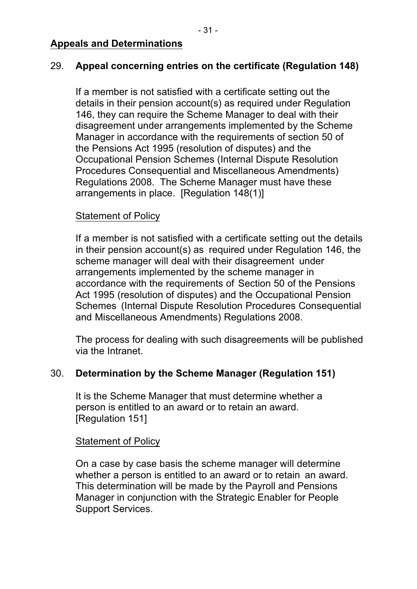## 29. **Appeal concerning entries on the certificate (Regulation 148)**

If a member is not satisfied with a certificate setting out the details in their pension account(s) as required under Regulation 146, they can require the Scheme Manager to deal with their disagreement under arrangements implemented by the Scheme Manager in accordance with the requirements of section 50 of the Pensions Act 1995 (resolution of disputes) and the Occupational Pension Schemes (Internal Dispute Resolution Procedures Consequential and Miscellaneous Amendments) Regulations 2008. The Scheme Manager must have these arrangements in place. [Regulation 148(1)]

#### Statement of Policy

If a member is not satisfied with a certificate setting out the details in their pension account(s) as required under Regulation 146, the scheme manager will deal with their disagreement under arrangements implemented by the scheme manager in accordance with the requirements of Section 50 of the Pensions Act 1995 (resolution of disputes) and the Occupational Pension Schemes (Internal Dispute Resolution Procedures Consequential and Miscellaneous Amendments) Regulations 2008.

The process for dealing with such disagreements will be published via the Intranet.

#### 30. **Determination by the Scheme Manager (Regulation 151)**

It is the Scheme Manager that must determine whether a person is entitled to an award or to retain an award. [Regulation 151]

#### Statement of Policy

On a case by case basis the scheme manager will determine whether a person is entitled to an award or to retain an award. This determination will be made by the Payroll and Pensions Manager in conjunction with the Strategic Enabler for People Support Services.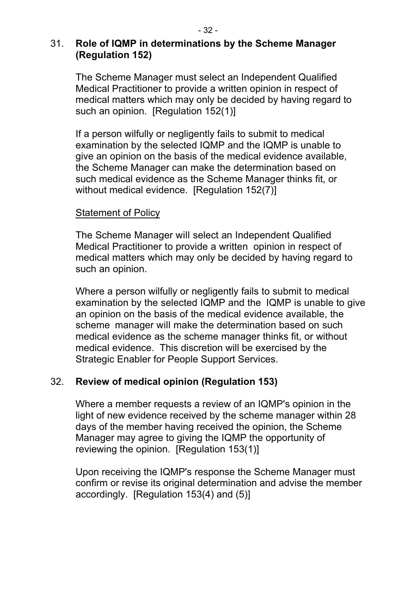#### 31. **Role of IQMP in determinations by the Scheme Manager (Regulation 152)**

The Scheme Manager must select an Independent Qualified Medical Practitioner to provide a written opinion in respect of medical matters which may only be decided by having regard to such an opinion. [Regulation 152(1)]

If a person wilfully or negligently fails to submit to medical examination by the selected IQMP and the IQMP is unable to give an opinion on the basis of the medical evidence available, the Scheme Manager can make the determination based on such medical evidence as the Scheme Manager thinks fit, or without medical evidence. [Requlation 152(7)]

#### Statement of Policy

The Scheme Manager will select an Independent Qualified Medical Practitioner to provide a written opinion in respect of medical matters which may only be decided by having regard to such an opinion.

Where a person wilfully or negligently fails to submit to medical examination by the selected IQMP and the IQMP is unable to give an opinion on the basis of the medical evidence available, the scheme manager will make the determination based on such medical evidence as the scheme manager thinks fit, or without medical evidence. This discretion will be exercised by the Strategic Enabler for People Support Services.

#### 32. **Review of medical opinion (Regulation 153)**

Where a member requests a review of an IQMP's opinion in the light of new evidence received by the scheme manager within 28 days of the member having received the opinion, the Scheme Manager may agree to giving the IQMP the opportunity of reviewing the opinion. [Regulation 153(1)]

Upon receiving the IQMP's response the Scheme Manager must confirm or revise its original determination and advise the member accordingly. [Regulation 153(4) and (5)]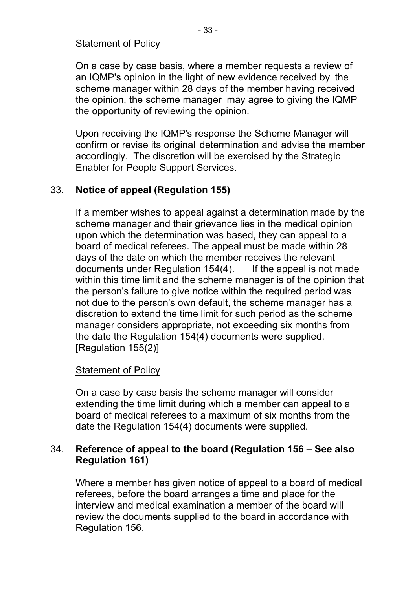#### Statement of Policy

On a case by case basis, where a member requests a review of an IQMP's opinion in the light of new evidence received by the scheme manager within 28 days of the member having received the opinion, the scheme manager may agree to giving the IQMP the opportunity of reviewing the opinion.

Upon receiving the IQMP's response the Scheme Manager will confirm or revise its original determination and advise the member accordingly. The discretion will be exercised by the Strategic Enabler for People Support Services.

#### 33. **Notice of appeal (Regulation 155)**

If a member wishes to appeal against a determination made by the scheme manager and their grievance lies in the medical opinion upon which the determination was based, they can appeal to a board of medical referees. The appeal must be made within 28 days of the date on which the member receives the relevant documents under Regulation 154(4). If the appeal is not made within this time limit and the scheme manager is of the opinion that the person's failure to give notice within the required period was not due to the person's own default, the scheme manager has a discretion to extend the time limit for such period as the scheme manager considers appropriate, not exceeding six months from the date the Regulation 154(4) documents were supplied. [Regulation 155(2)]

#### Statement of Policy

On a case by case basis the scheme manager will consider extending the time limit during which a member can appeal to a board of medical referees to a maximum of six months from the date the Regulation 154(4) documents were supplied.

#### 34. **Reference of appeal to the board (Regulation 156 – See also Regulation 161)**

Where a member has given notice of appeal to a board of medical referees, before the board arranges a time and place for the interview and medical examination a member of the board will review the documents supplied to the board in accordance with Regulation 156.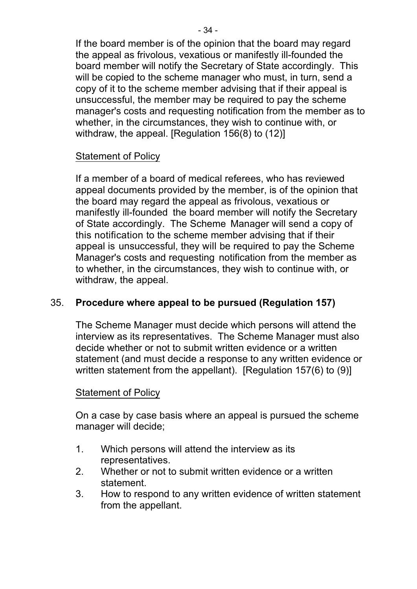If the board member is of the opinion that the board may regard the appeal as frivolous, vexatious or manifestly ill-founded the board member will notify the Secretary of State accordingly. This will be copied to the scheme manager who must, in turn, send a copy of it to the scheme member advising that if their appeal is unsuccessful, the member may be required to pay the scheme manager's costs and requesting notification from the member as to whether, in the circumstances, they wish to continue with, or withdraw, the appeal. [Regulation 156(8) to (12)]

#### Statement of Policy

If a member of a board of medical referees, who has reviewed appeal documents provided by the member, is of the opinion that the board may regard the appeal as frivolous, vexatious or manifestly ill-founded the board member will notify the Secretary of State accordingly. The Scheme Manager will send a copy of this notification to the scheme member advising that if their appeal is unsuccessful, they will be required to pay the Scheme Manager's costs and requesting notification from the member as to whether, in the circumstances, they wish to continue with, or withdraw, the appeal.

#### 35. **Procedure where appeal to be pursued (Regulation 157)**

The Scheme Manager must decide which persons will attend the interview as its representatives. The Scheme Manager must also decide whether or not to submit written evidence or a written statement (and must decide a response to any written evidence or written statement from the appellant). [Regulation 157(6) to (9)]

#### Statement of Policy

On a case by case basis where an appeal is pursued the scheme manager will decide;

- 1. Which persons will attend the interview as its representatives.
- 2. Whether or not to submit written evidence or a written statement.
- 3. How to respond to any written evidence of written statement from the appellant.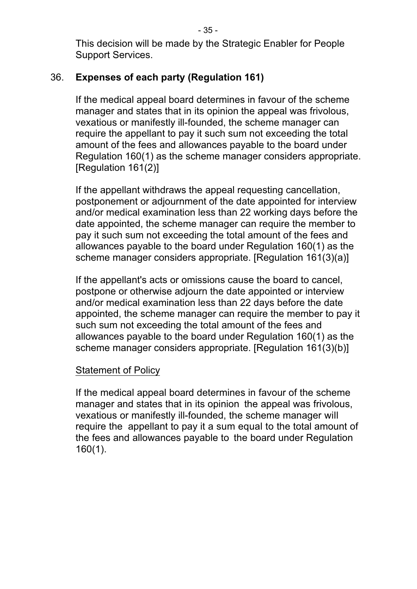This decision will be made by the Strategic Enabler for People Support Services.

## 36. **Expenses of each party (Regulation 161)**

If the medical appeal board determines in favour of the scheme manager and states that in its opinion the appeal was frivolous, vexatious or manifestly ill-founded, the scheme manager can require the appellant to pay it such sum not exceeding the total amount of the fees and allowances payable to the board under Regulation 160(1) as the scheme manager considers appropriate. [Regulation 161(2)]

If the appellant withdraws the appeal requesting cancellation, postponement or adjournment of the date appointed for interview and/or medical examination less than 22 working days before the date appointed, the scheme manager can require the member to pay it such sum not exceeding the total amount of the fees and allowances payable to the board under Regulation 160(1) as the scheme manager considers appropriate. [Regulation 161(3)(a)]

If the appellant's acts or omissions cause the board to cancel, postpone or otherwise adjourn the date appointed or interview and/or medical examination less than 22 days before the date appointed, the scheme manager can require the member to pay it such sum not exceeding the total amount of the fees and allowances payable to the board under Regulation 160(1) as the scheme manager considers appropriate. [Regulation 161(3)(b)]

#### Statement of Policy

If the medical appeal board determines in favour of the scheme manager and states that in its opinion the appeal was frivolous, vexatious or manifestly ill-founded, the scheme manager will require the appellant to pay it a sum equal to the total amount of the fees and allowances payable to the board under Regulation 160(1).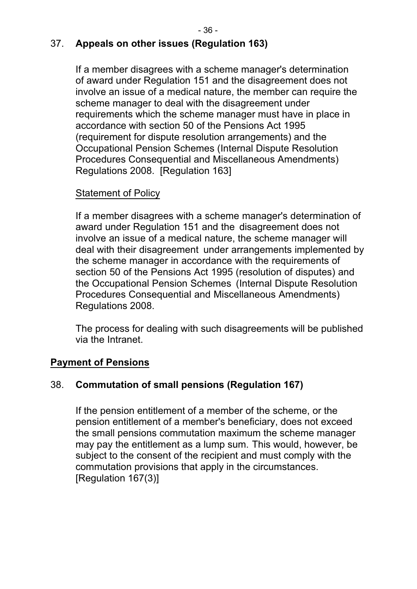## 37. **Appeals on other issues (Regulation 163)**

If a member disagrees with a scheme manager's determination of award under Regulation 151 and the disagreement does not involve an issue of a medical nature, the member can require the scheme manager to deal with the disagreement under requirements which the scheme manager must have in place in accordance with section 50 of the Pensions Act 1995 (requirement for dispute resolution arrangements) and the Occupational Pension Schemes (Internal Dispute Resolution Procedures Consequential and Miscellaneous Amendments) Regulations 2008. [Regulation 163]

## Statement of Policy

If a member disagrees with a scheme manager's determination of award under Regulation 151 and the disagreement does not involve an issue of a medical nature, the scheme manager will deal with their disagreement under arrangements implemented by the scheme manager in accordance with the requirements of section 50 of the Pensions Act 1995 (resolution of disputes) and the Occupational Pension Schemes (Internal Dispute Resolution Procedures Consequential and Miscellaneous Amendments) Regulations 2008.

The process for dealing with such disagreements will be published via the Intranet.

## **Payment of Pensions**

#### 38. **Commutation of small pensions (Regulation 167)**

If the pension entitlement of a member of the scheme, or the pension entitlement of a member's beneficiary, does not exceed the small pensions commutation maximum the scheme manager may pay the entitlement as a lump sum. This would, however, be subject to the consent of the recipient and must comply with the commutation provisions that apply in the circumstances. [Regulation 167(3)]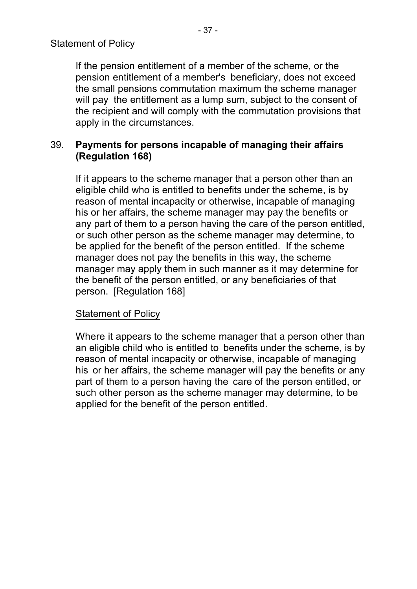If the pension entitlement of a member of the scheme, or the pension entitlement of a member's beneficiary, does not exceed the small pensions commutation maximum the scheme manager will pay the entitlement as a lump sum, subject to the consent of the recipient and will comply with the commutation provisions that apply in the circumstances.

#### 39. **Payments for persons incapable of managing their affairs (Regulation 168)**

If it appears to the scheme manager that a person other than an eligible child who is entitled to benefits under the scheme, is by reason of mental incapacity or otherwise, incapable of managing his or her affairs, the scheme manager may pay the benefits or any part of them to a person having the care of the person entitled, or such other person as the scheme manager may determine, to be applied for the benefit of the person entitled. If the scheme manager does not pay the benefits in this way, the scheme manager may apply them in such manner as it may determine for the benefit of the person entitled, or any beneficiaries of that person. [Regulation 168]

#### Statement of Policy

Where it appears to the scheme manager that a person other than an eligible child who is entitled to benefits under the scheme, is by reason of mental incapacity or otherwise, incapable of managing his or her affairs, the scheme manager will pay the benefits or any part of them to a person having the care of the person entitled, or such other person as the scheme manager may determine, to be applied for the benefit of the person entitled.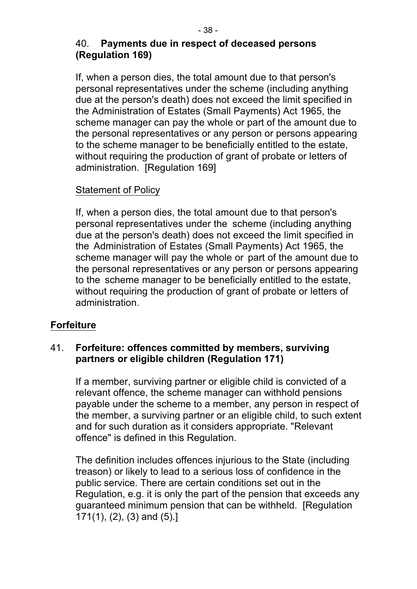#### 40. **Payments due in respect of deceased persons (Regulation 169)**

If, when a person dies, the total amount due to that person's personal representatives under the scheme (including anything due at the person's death) does not exceed the limit specified in the Administration of Estates (Small Payments) Act 1965, the scheme manager can pay the whole or part of the amount due to the personal representatives or any person or persons appearing to the scheme manager to be beneficially entitled to the estate, without requiring the production of grant of probate or letters of administration. [Regulation 169]

## Statement of Policy

If, when a person dies, the total amount due to that person's personal representatives under the scheme (including anything due at the person's death) does not exceed the limit specified in the Administration of Estates (Small Payments) Act 1965, the scheme manager will pay the whole or part of the amount due to the personal representatives or any person or persons appearing to the scheme manager to be beneficially entitled to the estate, without requiring the production of grant of probate or letters of administration.

## **Forfeiture**

#### 41. **Forfeiture: offences committed by members, surviving partners or eligible children (Regulation 171)**

If a member, surviving partner or eligible child is convicted of a relevant offence, the scheme manager can withhold pensions payable under the scheme to a member, any person in respect of the member, a surviving partner or an eligible child, to such extent and for such duration as it considers appropriate. "Relevant offence" is defined in this Regulation.

The definition includes offences injurious to the State (including treason) or likely to lead to a serious loss of confidence in the public service. There are certain conditions set out in the Regulation, e.g. it is only the part of the pension that exceeds any guaranteed minimum pension that can be withheld. [Regulation 171(1), (2), (3) and (5).]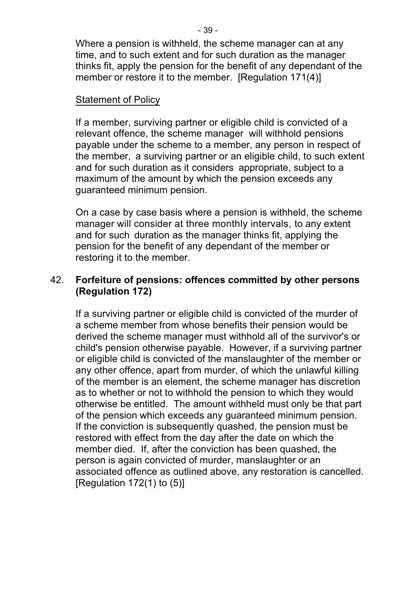Where a pension is withheld, the scheme manager can at any time, and to such extent and for such duration as the manager thinks fit, apply the pension for the benefit of any dependant of the member or restore it to the member. [Regulation 171(4)]

#### Statement of Policy

If a member, surviving partner or eligible child is convicted of a relevant offence, the scheme manager will withhold pensions payable under the scheme to a member, any person in respect of the member, a surviving partner or an eligible child, to such extent and for such duration as it considers appropriate, subject to a maximum of the amount by which the pension exceeds any guaranteed minimum pension.

On a case by case basis where a pension is withheld, the scheme manager will consider at three monthly intervals, to any extent and for such duration as the manager thinks fit, applying the pension for the benefit of any dependant of the member or restoring it to the member.

#### 42. **Forfeiture of pensions: offences committed by other persons (Regulation 172)**

If a surviving partner or eligible child is convicted of the murder of a scheme member from whose benefits their pension would be derived the scheme manager must withhold all of the survivor's or child's pension otherwise payable. However, if a surviving partner or eligible child is convicted of the manslaughter of the member or any other offence, apart from murder, of which the unlawful killing of the member is an element, the scheme manager has discretion as to whether or not to withhold the pension to which they would otherwise be entitled. The amount withheld must only be that part of the pension which exceeds any guaranteed minimum pension. If the conviction is subsequently quashed, the pension must be restored with effect from the day after the date on which the member died. If, after the conviction has been quashed, the person is again convicted of murder, manslaughter or an associated offence as outlined above, any restoration is cancelled. [Regulation  $172(1)$  to  $(5)$ ]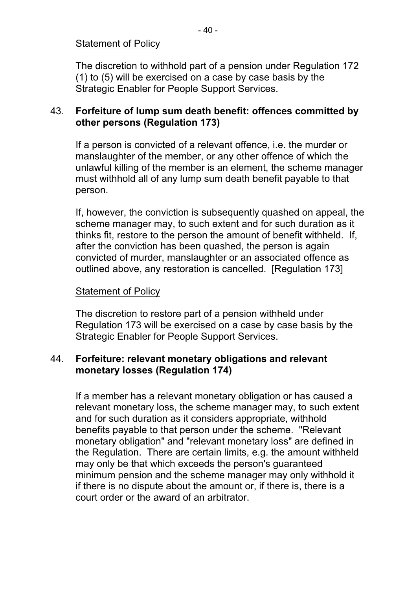#### Statement of Policy

The discretion to withhold part of a pension under Regulation 172 (1) to (5) will be exercised on a case by case basis by the Strategic Enabler for People Support Services.

#### 43. **Forfeiture of lump sum death benefit: offences committed by other persons (Regulation 173)**

If a person is convicted of a relevant offence, i.e. the murder or manslaughter of the member, or any other offence of which the unlawful killing of the member is an element, the scheme manager must withhold all of any lump sum death benefit payable to that person.

If, however, the conviction is subsequently quashed on appeal, the scheme manager may, to such extent and for such duration as it thinks fit, restore to the person the amount of benefit withheld. If, after the conviction has been quashed, the person is again convicted of murder, manslaughter or an associated offence as outlined above, any restoration is cancelled. [Regulation 173]

#### Statement of Policy

The discretion to restore part of a pension withheld under Regulation 173 will be exercised on a case by case basis by the Strategic Enabler for People Support Services.

#### 44. **Forfeiture: relevant monetary obligations and relevant monetary losses (Regulation 174)**

If a member has a relevant monetary obligation or has caused a relevant monetary loss, the scheme manager may, to such extent and for such duration as it considers appropriate, withhold benefits payable to that person under the scheme. "Relevant monetary obligation" and "relevant monetary loss" are defined in the Regulation. There are certain limits, e.g. the amount withheld may only be that which exceeds the person's guaranteed minimum pension and the scheme manager may only withhold it if there is no dispute about the amount or, if there is, there is a court order or the award of an arbitrator.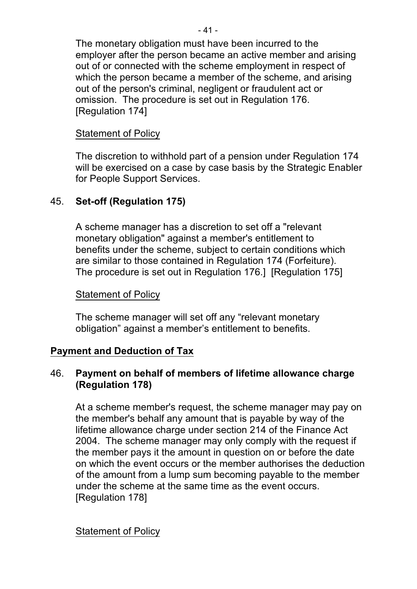The monetary obligation must have been incurred to the employer after the person became an active member and arising out of or connected with the scheme employment in respect of which the person became a member of the scheme, and arising out of the person's criminal, negligent or fraudulent act or omission. The procedure is set out in Regulation 176. [Regulation 174]

#### Statement of Policy

The discretion to withhold part of a pension under Regulation 174 will be exercised on a case by case basis by the Strategic Enabler for People Support Services.

## 45. **Setoff (Regulation 175)**

A scheme manager has a discretion to set off a "relevant monetary obligation" against a member's entitlement to benefits under the scheme, subject to certain conditions which are similar to those contained in Regulation 174 (Forfeiture). The procedure is set out in Regulation 176.] [Regulation 175]

#### Statement of Policy

The scheme manager will set off any "relevant monetary obligation" against a member's entitlement to benefits.

#### **Payment and Deduction of Tax**

#### 46. **Payment on behalf of members of lifetime allowance charge (Regulation 178)**

At a scheme member's request, the scheme manager may pay on the member's behalf any amount that is payable by way of the lifetime allowance charge under section 214 of the Finance Act 2004. The scheme manager may only comply with the request if the member pays it the amount in question on or before the date on which the event occurs or the member authorises the deduction of the amount from a lump sum becoming payable to the member under the scheme at the same time as the event occurs. [Regulation 178]

#### Statement of Policy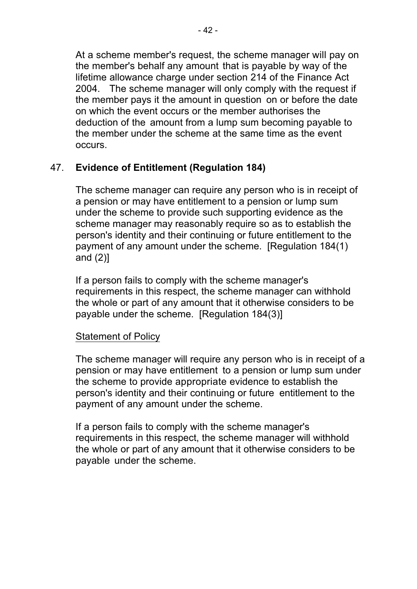At a scheme member's request, the scheme manager will pay on the member's behalf any amount that is payable by way of the lifetime allowance charge under section 214 of the Finance Act 2004. The scheme manager will only comply with the request if the member pays it the amount in question on or before the date on which the event occurs or the member authorises the deduction of the amount from a lump sum becoming payable to the member under the scheme at the same time as the event occurs.

## 47. **Evidence of Entitlement (Regulation 184)**

The scheme manager can require any person who is in receipt of a pension or may have entitlement to a pension or lump sum under the scheme to provide such supporting evidence as the scheme manager may reasonably require so as to establish the person's identity and their continuing or future entitlement to the payment of any amount under the scheme. [Regulation 184(1) and (2)]

If a person fails to comply with the scheme manager's requirements in this respect, the scheme manager can withhold the whole or part of any amount that it otherwise considers to be payable under the scheme. [Regulation 184(3)]

#### Statement of Policy

The scheme manager will require any person who is in receipt of a pension or may have entitlement to a pension or lump sum under the scheme to provide appropriate evidence to establish the person's identity and their continuing or future entitlement to the payment of any amount under the scheme.

If a person fails to comply with the scheme manager's requirements in this respect, the scheme manager will withhold the whole or part of any amount that it otherwise considers to be payable under the scheme.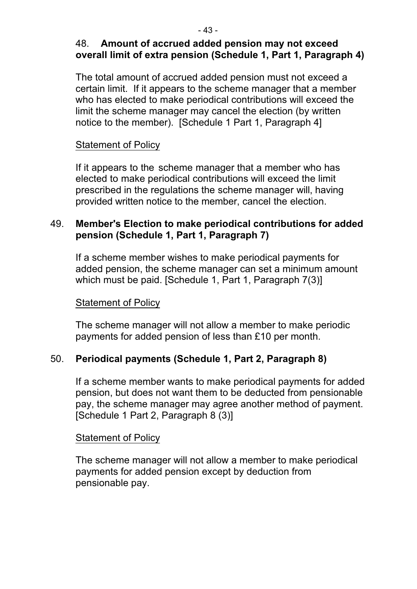## 48. **Amount of accrued added pension may not exceed overall limit of extra pension (Schedule 1, Part 1, Paragraph 4)**

The total amount of accrued added pension must not exceed a certain limit. If it appears to the scheme manager that a member who has elected to make periodical contributions will exceed the limit the scheme manager may cancel the election (by written notice to the member). [Schedule 1 Part 1, Paragraph 4]

#### Statement of Policy

If it appears to the scheme manager that a member who has elected to make periodical contributions will exceed the limit prescribed in the regulations the scheme manager will, having provided written notice to the member, cancel the election.

## 49. **Member's Election to make periodical contributions for added pension (Schedule 1, Part 1, Paragraph 7)**

If a scheme member wishes to make periodical payments for added pension, the scheme manager can set a minimum amount which must be paid. [Schedule 1, Part 1, Paragraph 7(3)]

#### Statement of Policy

The scheme manager will not allow a member to make periodic payments for added pension of less than £10 per month.

## 50. **Periodical payments (Schedule 1, Part 2, Paragraph 8)**

If a scheme member wants to make periodical payments for added pension, but does not want them to be deducted from pensionable pay, the scheme manager may agree another method of payment. [Schedule 1 Part 2, Paragraph 8 (3)]

#### Statement of Policy

The scheme manager will not allow a member to make periodical payments for added pension except by deduction from pensionable pay.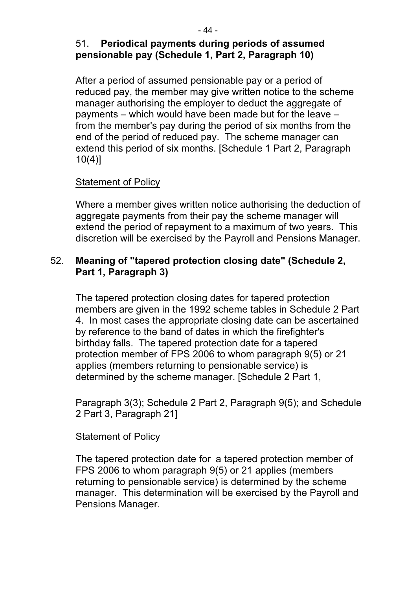#### 51. **Periodical payments during periods of assumed pensionable pay (Schedule 1, Part 2, Paragraph 10)**

After a period of assumed pensionable pay or a period of reduced pay, the member may give written notice to the scheme manager authorising the employer to deduct the aggregate of payments – which would have been made but for the leave – from the member's pay during the period of six months from the end of the period of reduced pay. The scheme manager can extend this period of six months. [Schedule 1 Part 2, Paragraph  $10(4)$ ]

#### Statement of Policy

Where a member gives written notice authorising the deduction of aggregate payments from their pay the scheme manager will extend the period of repayment to a maximum of two years. This discretion will be exercised by the Payroll and Pensions Manager.

#### 52. **Meaning of "tapered protection closing date" (Schedule 2, Part 1, Paragraph 3)**

The tapered protection closing dates for tapered protection members are given in the 1992 scheme tables in Schedule 2 Part 4. In most cases the appropriate closing date can be ascertained by reference to the band of dates in which the firefighter's birthday falls. The tapered protection date for a tapered protection member of FPS 2006 to whom paragraph 9(5) or 21 applies (members returning to pensionable service) is determined by the scheme manager. [Schedule 2 Part 1,

Paragraph 3(3); Schedule 2 Part 2, Paragraph 9(5); and Schedule 2 Part 3, Paragraph 21]

#### Statement of Policy

The tapered protection date for a tapered protection member of FPS 2006 to whom paragraph 9(5) or 21 applies (members returning to pensionable service) is determined by the scheme manager. This determination will be exercised by the Payroll and Pensions Manager.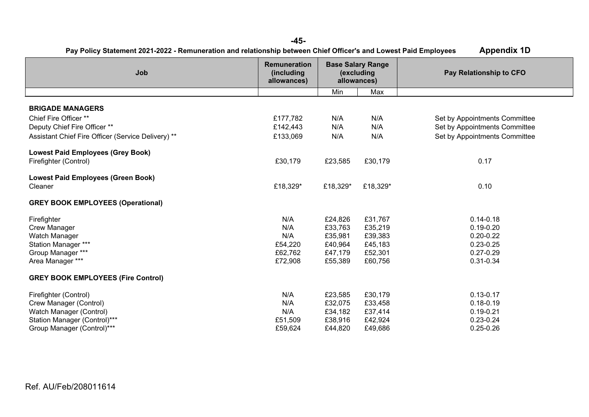| <b>Appendix 1D</b><br>Pay Policy Statement 2021-2022 - Remuneration and relationship between Chief Officer's and Lowest Paid Employees |                                                  |                                                       |          |                               |  |  |  |
|----------------------------------------------------------------------------------------------------------------------------------------|--------------------------------------------------|-------------------------------------------------------|----------|-------------------------------|--|--|--|
| Job                                                                                                                                    | <b>Remuneration</b><br>(including<br>allowances) | <b>Base Salary Range</b><br>(excluding<br>allowances) |          | Pay Relationship to CFO       |  |  |  |
|                                                                                                                                        |                                                  | Min                                                   | Max      |                               |  |  |  |
| <b>BRIGADE MANAGERS</b>                                                                                                                |                                                  |                                                       |          |                               |  |  |  |
| Chief Fire Officer **                                                                                                                  | £177,782                                         | N/A                                                   | N/A      | Set by Appointments Committee |  |  |  |
| Deputy Chief Fire Officer **                                                                                                           | £142,443                                         | N/A                                                   | N/A      | Set by Appointments Committee |  |  |  |
|                                                                                                                                        |                                                  |                                                       |          |                               |  |  |  |
| Assistant Chief Fire Officer (Service Delivery) **                                                                                     | £133,069                                         | N/A                                                   | N/A      | Set by Appointments Committee |  |  |  |
| <b>Lowest Paid Employees (Grey Book)</b>                                                                                               |                                                  |                                                       |          |                               |  |  |  |
| Firefighter (Control)                                                                                                                  | £30,179                                          | £23,585                                               | £30,179  | 0.17                          |  |  |  |
|                                                                                                                                        |                                                  |                                                       |          |                               |  |  |  |
| <b>Lowest Paid Employees (Green Book)</b>                                                                                              |                                                  |                                                       |          |                               |  |  |  |
| Cleaner                                                                                                                                | £18,329*                                         | £18,329*                                              | £18,329* | 0.10                          |  |  |  |
| <b>GREY BOOK EMPLOYEES (Operational)</b>                                                                                               |                                                  |                                                       |          |                               |  |  |  |
|                                                                                                                                        |                                                  |                                                       |          |                               |  |  |  |
| Firefighter                                                                                                                            | N/A                                              | £24,826                                               | £31,767  | $0.14 - 0.18$                 |  |  |  |
| <b>Crew Manager</b>                                                                                                                    | N/A                                              | £33,763                                               | £35,219  | $0.19 - 0.20$                 |  |  |  |
| Watch Manager                                                                                                                          | N/A                                              | £35,981                                               | £39,383  | $0.20 - 0.22$                 |  |  |  |
| Station Manager ***                                                                                                                    | £54,220                                          | £40,964                                               | £45,183  | $0.23 - 0.25$                 |  |  |  |
| Group Manager ***                                                                                                                      | £62,762                                          | £47,179                                               | £52,301  | $0.27 - 0.29$                 |  |  |  |
| Area Manager ***                                                                                                                       | £72,908                                          | £55,389                                               | £60,756  | 0.31-0.34                     |  |  |  |
| <b>GREY BOOK EMPLOYEES (Fire Control)</b>                                                                                              |                                                  |                                                       |          |                               |  |  |  |
| Firefighter (Control)                                                                                                                  | N/A                                              | £23,585                                               | £30,179  | $0.13 - 0.17$                 |  |  |  |
| Crew Manager (Control)                                                                                                                 | N/A                                              | £32,075                                               | £33,458  | $0.18 - 0.19$                 |  |  |  |
| Watch Manager (Control)                                                                                                                | N/A                                              | £34,182                                               | £37,414  | $0.19 - 0.21$                 |  |  |  |
| Station Manager (Control)***                                                                                                           | £51,509                                          | £38,916                                               | £42,924  | $0.23 - 0.24$                 |  |  |  |
| Group Manager (Control)***                                                                                                             | £59,624                                          | £44,820                                               | £49,686  | $0.25 - 0.26$                 |  |  |  |